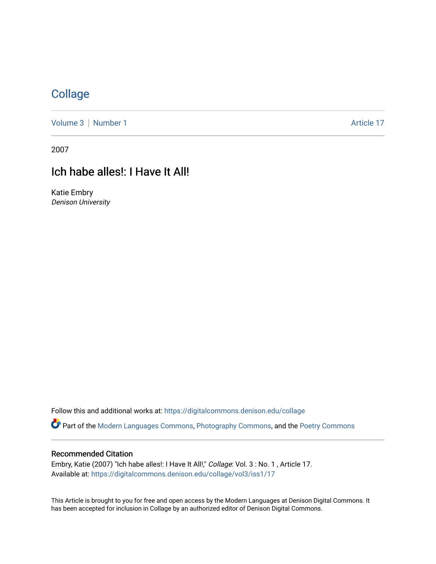## **[Collage](https://digitalcommons.denison.edu/collage)**

[Volume 3](https://digitalcommons.denison.edu/collage/vol3) | [Number 1](https://digitalcommons.denison.edu/collage/vol3/iss1) Article 17

2007

# Ich habe alles!: I Have It All!

Katie Embry Denison University

Follow this and additional works at: [https://digitalcommons.denison.edu/collage](https://digitalcommons.denison.edu/collage?utm_source=digitalcommons.denison.edu%2Fcollage%2Fvol3%2Fiss1%2F17&utm_medium=PDF&utm_campaign=PDFCoverPages) 

Part of the [Modern Languages Commons,](http://network.bepress.com/hgg/discipline/1130?utm_source=digitalcommons.denison.edu%2Fcollage%2Fvol3%2Fiss1%2F17&utm_medium=PDF&utm_campaign=PDFCoverPages) [Photography Commons](http://network.bepress.com/hgg/discipline/1142?utm_source=digitalcommons.denison.edu%2Fcollage%2Fvol3%2Fiss1%2F17&utm_medium=PDF&utm_campaign=PDFCoverPages), and the [Poetry Commons](http://network.bepress.com/hgg/discipline/1153?utm_source=digitalcommons.denison.edu%2Fcollage%2Fvol3%2Fiss1%2F17&utm_medium=PDF&utm_campaign=PDFCoverPages)

#### Recommended Citation

Embry, Katie (2007) "Ich habe alles!: I Have It All!," Collage: Vol. 3 : No. 1, Article 17. Available at: [https://digitalcommons.denison.edu/collage/vol3/iss1/17](https://digitalcommons.denison.edu/collage/vol3/iss1/17?utm_source=digitalcommons.denison.edu%2Fcollage%2Fvol3%2Fiss1%2F17&utm_medium=PDF&utm_campaign=PDFCoverPages)

This Article is brought to you for free and open access by the Modern Languages at Denison Digital Commons. It has been accepted for inclusion in Collage by an authorized editor of Denison Digital Commons.